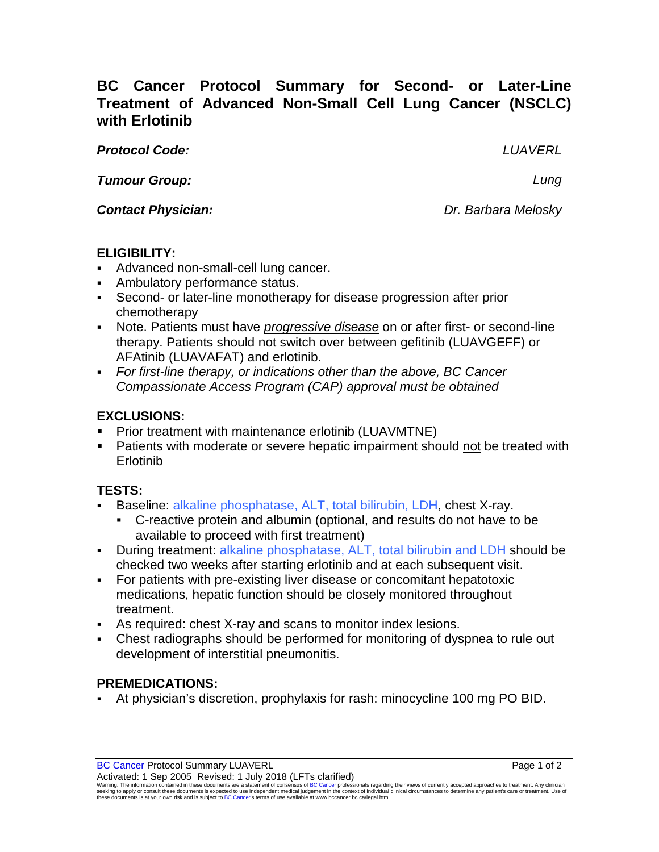# **BC Cancer Protocol Summary for Second- or Later-Line Treatment of Advanced Non-Small Cell Lung Cancer (NSCLC) with Erlotinib**

*Protocol Code: LUAVERL*

*Tumour Group: Lung*

*Contact Physician: Dr. Barbara Melosky*

### **ELIGIBILITY:**

- Advanced non-small-cell lung cancer.
- Ambulatory performance status.
- Second- or later-line monotherapy for disease progression after prior chemotherapy
- Note. Patients must have *progressive disease* on or after first- or second-line therapy. Patients should not switch over between gefitinib (LUAVGEFF) or AFAtinib (LUAVAFAT) and erlotinib.
- *For first-line therapy, or indications other than the above, BC Cancer Compassionate Access Program (CAP) approval must be obtained*

## **EXCLUSIONS:**

- **Prior treatment with maintenance erlotinib (LUAVMTNE)**
- **Patients with moderate or severe hepatic impairment should not be treated with** Erlotinib

## **TESTS:**

- Baseline: alkaline phosphatase, ALT, total bilirubin, LDH, chest X-ray.
	- C-reactive protein and albumin (optional, and results do not have to be available to proceed with first treatment)
- During treatment: alkaline phosphatase, ALT, total bilirubin and LDH should be checked two weeks after starting erlotinib and at each subsequent visit.
- For patients with pre-existing liver disease or concomitant hepatotoxic medications, hepatic function should be closely monitored throughout treatment.
- As required: chest X-ray and scans to monitor index lesions.
- Chest radiographs should be performed for monitoring of dyspnea to rule out development of interstitial pneumonitis.

## **PREMEDICATIONS:**

At physician's discretion, prophylaxis for rash: minocycline 100 mg PO BID.

Warning: The information contained in these documents are a statement of consensus of BC Cancer professionals regarding their views of currently accepted approaches to treatment. Any clinician<br>seeking to apply or consult t